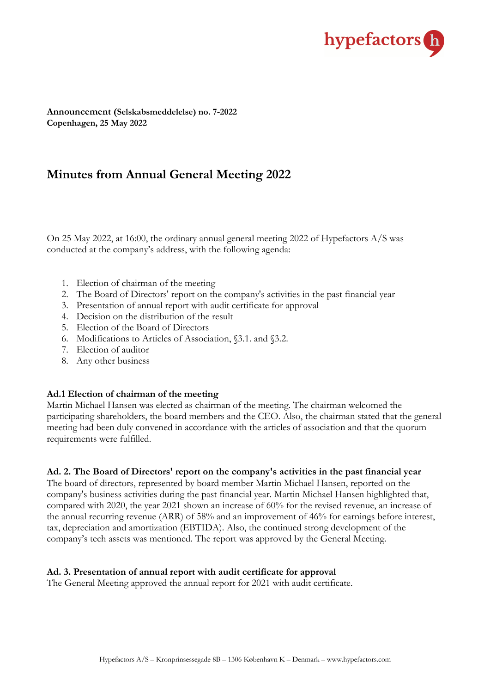

**Announcement (Selskabsmeddelelse) no. 7-2022 Copenhagen, 25 May 2022**

# **Minutes from Annual General Meeting 2022**

On 25 May 2022, at 16:00, the ordinary annual general meeting 2022 of Hypefactors A/S was conducted at the company's address, with the following agenda:

- 1. Election of chairman of the meeting
- 2. The Board of Directors' report on the company's activities in the past financial year
- 3. Presentation of annual report with audit certificate for approval
- 4. Decision on the distribution of the result
- 5. Election of the Board of Directors
- 6. Modifications to Articles of Association, §3.1. and §3.2.
- 7. Election of auditor
- 8. Any other business

### **Ad.1 Election of chairman of the meeting**

Martin Michael Hansen was elected as chairman of the meeting. The chairman welcomed the participating shareholders, the board members and the CEO. Also, the chairman stated that the general meeting had been duly convened in accordance with the articles of association and that the quorum requirements were fulfilled.

### **Ad. 2. The Board of Directors' report on the company's activities in the past financial year**

The board of directors, represented by board member Martin Michael Hansen, reported on the company's business activities during the past financial year. Martin Michael Hansen highlighted that, compared with 2020, the year 2021 shown an increase of 60% for the revised revenue, an increase of the annual recurring revenue (ARR) of 58% and an improvement of 46% for earnings before interest, tax, depreciation and amortization (EBTIDA). Also, the continued strong development of the company's tech assets was mentioned. The report was approved by the General Meeting.

#### **Ad. 3. Presentation of annual report with audit certificate for approval**

The General Meeting approved the annual report for 2021 with audit certificate.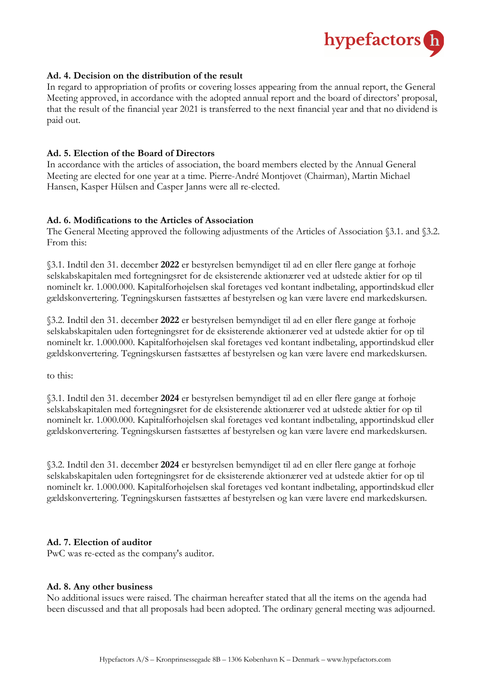

### **Ad. 4. Decision on the distribution of the result**

In regard to appropriation of profits or covering losses appearing from the annual report, the General Meeting approved, in accordance with the adopted annual report and the board of directors' proposal, that the result of the financial year 2021 is transferred to the next financial year and that no dividend is paid out.

#### **Ad. 5. Election of the Board of Directors**

In accordance with the articles of association, the board members elected by the Annual General Meeting are elected for one year at a time. Pierre-André Montjovet (Chairman), Martin Michael Hansen, Kasper Hülsen and Casper Janns were all re-elected.

### **Ad. 6. Modifications to the Articles of Association**

The General Meeting approved the following adjustments of the Articles of Association §3.1. and §3.2. From this:

§3.1. Indtil den 31. december **2022** er bestyrelsen bemyndiget til ad en eller flere gange at forhøje selskabskapitalen med fortegningsret for de eksisterende aktionærer ved at udstede aktier for op til nominelt kr. 1.000.000. Kapitalforhøjelsen skal foretages ved kontant indbetaling, apportindskud eller gældskonvertering. Tegningskursen fastsættes af bestyrelsen og kan være lavere end markedskursen.

§3.2. Indtil den 31. december **2022** er bestyrelsen bemyndiget til ad en eller flere gange at forhøje selskabskapitalen uden fortegningsret for de eksisterende aktionærer ved at udstede aktier for op til nominelt kr. 1.000.000. Kapitalforhøjelsen skal foretages ved kontant indbetaling, apportindskud eller gældskonvertering. Tegningskursen fastsættes af bestyrelsen og kan være lavere end markedskursen.

to this:

§3.1. Indtil den 31. december **2024** er bestyrelsen bemyndiget til ad en eller flere gange at forhøje selskabskapitalen med fortegningsret for de eksisterende aktionærer ved at udstede aktier for op til nominelt kr. 1.000.000. Kapitalforhøjelsen skal foretages ved kontant indbetaling, apportindskud eller gældskonvertering. Tegningskursen fastsættes af bestyrelsen og kan være lavere end markedskursen.

§3.2. Indtil den 31. december **2024** er bestyrelsen bemyndiget til ad en eller flere gange at forhøje selskabskapitalen uden fortegningsret for de eksisterende aktionærer ved at udstede aktier for op til nominelt kr. 1.000.000. Kapitalforhøjelsen skal foretages ved kontant indbetaling, apportindskud eller gældskonvertering. Tegningskursen fastsættes af bestyrelsen og kan være lavere end markedskursen.

#### **Ad. 7. Election of auditor**

PwC was re-ected as the company's auditor.

#### **Ad. 8. Any other business**

No additional issues were raised. The chairman hereafter stated that all the items on the agenda had been discussed and that all proposals had been adopted. The ordinary general meeting was adjourned.